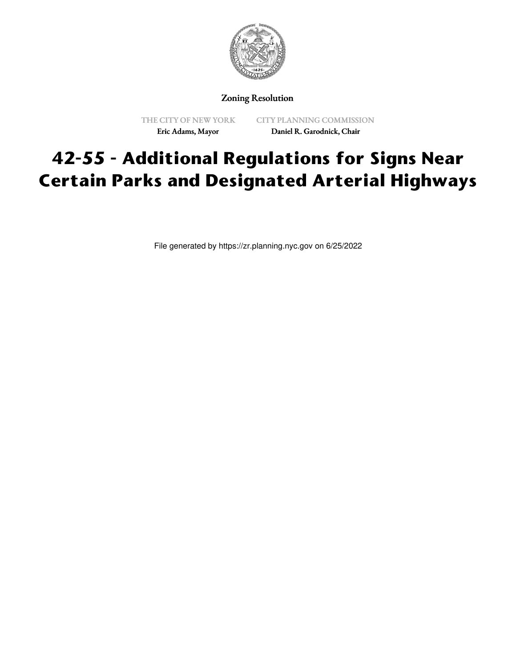

Zoning Resolution

THE CITY OF NEW YORK Eric Adams, Mayor

CITY PLANNING COMMISSION Daniel R. Garodnick, Chair

## **42-55 - Additional Regulations for Signs Near Certain Parks and Designated Arterial Highways**

File generated by https://zr.planning.nyc.gov on 6/25/2022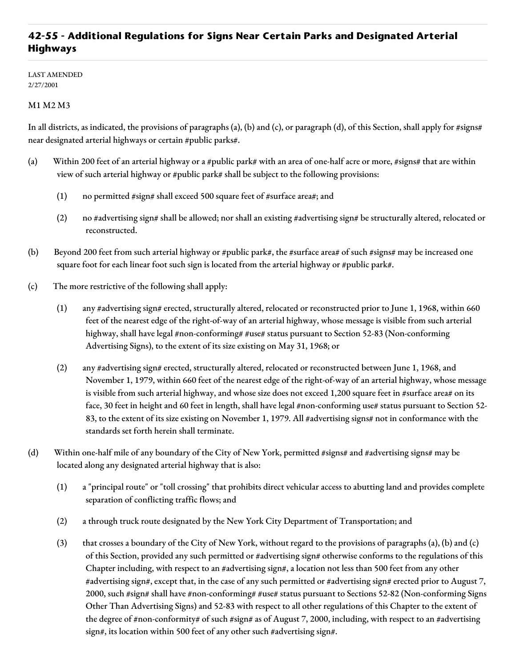## **42-55 - Additional Regulations for Signs Near Certain Parks and Designated Arterial Highways**

LAST AMENDED 2/27/2001

## M1 M2 M3

In all districts, as indicated, the provisions of paragraphs (a), (b) and (c), or paragraph (d), of this Section, shall apply for #signs# near designated arterial highways or certain #public parks#.

- (a) Within 200 feet of an arterial highway or a #public park# with an area of one-half acre or more, #signs# that are within view of such arterial highway or #public park# shall be subject to the following provisions:
	- (1) no permitted #sign# shall exceed 500 square feet of #surface area#; and
	- (2) no #advertising sign# shall be allowed; nor shall an existing #advertising sign# be structurally altered, relocated or reconstructed.
- (b) Beyond 200 feet from such arterial highway or #public park#, the #surface area# of such #signs# may be increased one square foot for each linear foot such sign is located from the arterial highway or #public park#.
- (c) The more restrictive of the following shall apply:
	- (1) any #advertising sign# erected, structurally altered, relocated or reconstructed prior to June 1, 1968, within 660 feet of the nearest edge of the right-of-way of an arterial highway, whose message is visible from such arterial highway, shall have legal #non-conforming# #use# status pursuant to Section 52-83 (Non-conforming Advertising Signs), to the extent of its size existing on May 31, 1968; or
	- (2) any #advertising sign# erected, structurally altered, relocated or reconstructed between June 1, 1968, and November 1, 1979, within 660 feet of the nearest edge of the right-of-way of an arterial highway, whose message is visible from such arterial highway, and whose size does not exceed 1,200 square feet in #surface area# on its face, 30 feet in height and 60 feet in length, shall have legal #non-conforming use# status pursuant to Section 52-83, to the extent of its size existing on November 1, 1979. All #advertising signs# not in conformance with the standards set forth herein shall terminate.
- (d) Within one-half mile of any boundary of the City of New York, permitted #signs# and #advertising signs# may be located along any designated arterial highway that is also:
	- (1) a "principal route" or "toll crossing" that prohibits direct vehicular access to abutting land and provides complete separation of conflicting traffic flows; and
	- (2) a through truck route designated by the New York City Department of Transportation; and
	- (3) that crosses a boundary of the City of New York, without regard to the provisions of paragraphs (a), (b) and (c) of this Section, provided any such permitted or #advertising sign# otherwise conforms to the regulations of this Chapter including, with respect to an #advertising sign#, a location not less than 500 feet from any other #advertising sign#, except that, in the case of any such permitted or #advertising sign# erected prior to August 7, 2000, such #sign# shall have #non-conforming# #use# status pursuant to Sections 52-82 (Non-conforming Signs Other Than Advertising Signs) and 52-83 with respect to all other regulations of this Chapter to the extent of the degree of #non-conformity# of such #sign# as of August 7, 2000, including, with respect to an #advertising sign#, its location within 500 feet of any other such #advertising sign#.